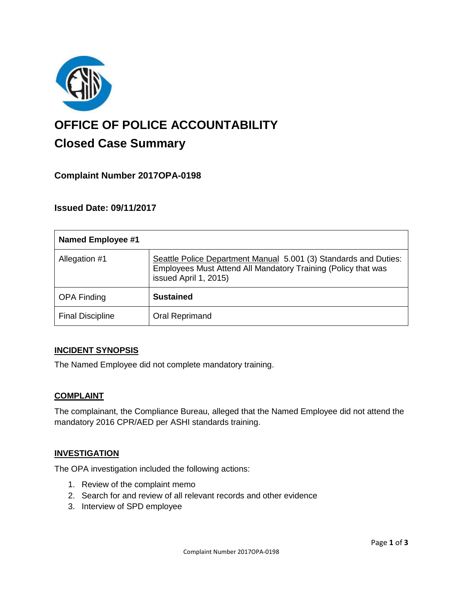

# **OFFICE OF POLICE ACCOUNTABILITY**

## **Closed Case Summary**

### **Complaint Number 2017OPA-0198**

#### **Issued Date: 09/11/2017**

| <b>Named Employee #1</b> |                                                                                                                                                            |
|--------------------------|------------------------------------------------------------------------------------------------------------------------------------------------------------|
| Allegation #1            | Seattle Police Department Manual 5.001 (3) Standards and Duties:<br>Employees Must Attend All Mandatory Training (Policy that was<br>issued April 1, 2015) |
| <b>OPA Finding</b>       | <b>Sustained</b>                                                                                                                                           |
| <b>Final Discipline</b>  | Oral Reprimand                                                                                                                                             |

#### **INCIDENT SYNOPSIS**

The Named Employee did not complete mandatory training.

#### **COMPLAINT**

The complainant, the Compliance Bureau, alleged that the Named Employee did not attend the mandatory 2016 CPR/AED per ASHI standards training.

#### **INVESTIGATION**

The OPA investigation included the following actions:

- 1. Review of the complaint memo
- 2. Search for and review of all relevant records and other evidence
- 3. Interview of SPD employee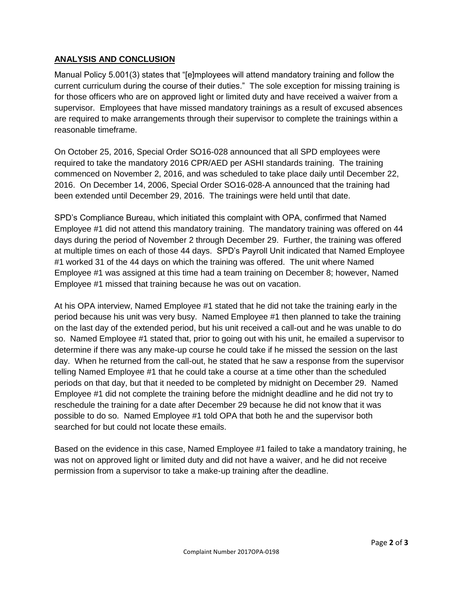#### **ANALYSIS AND CONCLUSION**

Manual Policy 5.001(3) states that "[e]mployees will attend mandatory training and follow the current curriculum during the course of their duties." The sole exception for missing training is for those officers who are on approved light or limited duty and have received a waiver from a supervisor. Employees that have missed mandatory trainings as a result of excused absences are required to make arrangements through their supervisor to complete the trainings within a reasonable timeframe.

On October 25, 2016, Special Order SO16-028 announced that all SPD employees were required to take the mandatory 2016 CPR/AED per ASHI standards training. The training commenced on November 2, 2016, and was scheduled to take place daily until December 22, 2016. On December 14, 2006, Special Order SO16-028-A announced that the training had been extended until December 29, 2016. The trainings were held until that date.

SPD's Compliance Bureau, which initiated this complaint with OPA, confirmed that Named Employee #1 did not attend this mandatory training. The mandatory training was offered on 44 days during the period of November 2 through December 29. Further, the training was offered at multiple times on each of those 44 days. SPD's Payroll Unit indicated that Named Employee #1 worked 31 of the 44 days on which the training was offered. The unit where Named Employee #1 was assigned at this time had a team training on December 8; however, Named Employee #1 missed that training because he was out on vacation.

At his OPA interview, Named Employee #1 stated that he did not take the training early in the period because his unit was very busy. Named Employee #1 then planned to take the training on the last day of the extended period, but his unit received a call-out and he was unable to do so. Named Employee #1 stated that, prior to going out with his unit, he emailed a supervisor to determine if there was any make-up course he could take if he missed the session on the last day. When he returned from the call-out, he stated that he saw a response from the supervisor telling Named Employee #1 that he could take a course at a time other than the scheduled periods on that day, but that it needed to be completed by midnight on December 29. Named Employee #1 did not complete the training before the midnight deadline and he did not try to reschedule the training for a date after December 29 because he did not know that it was possible to do so. Named Employee #1 told OPA that both he and the supervisor both searched for but could not locate these emails.

Based on the evidence in this case, Named Employee #1 failed to take a mandatory training, he was not on approved light or limited duty and did not have a waiver, and he did not receive permission from a supervisor to take a make-up training after the deadline.